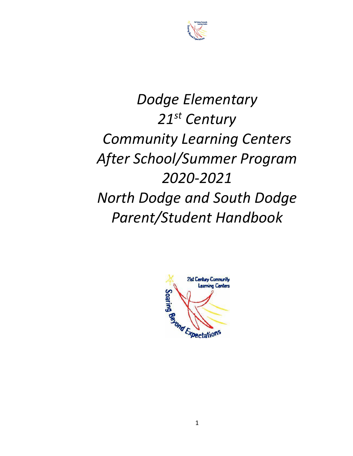

# *Dodge Elementary 21st Century Community Learning Centers After School/Summer Program 2020-2021 North Dodge and South Dodge Parent/Student Handbook*

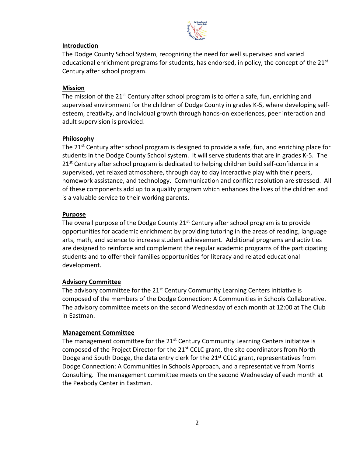

#### **Introduction**

The Dodge County School System, recognizing the need for well supervised and varied educational enrichment programs for students, has endorsed, in policy, the concept of the  $21<sup>st</sup>$ Century after school program.

## **Mission**

The mission of the 21<sup>st</sup> Century after school program is to offer a safe, fun, enriching and supervised environment for the children of Dodge County in grades K-5, where developing selfesteem, creativity, and individual growth through hands-on experiences, peer interaction and adult supervision is provided.

# **Philosophy**

The 21<sup>st</sup> Century after school program is designed to provide a safe, fun, and enriching place for students in the Dodge County School system. It will serve students that are in grades K-5. The 21<sup>st</sup> Century after school program is dedicated to helping children build self-confidence in a supervised, yet relaxed atmosphere, through day to day interactive play with their peers, homework assistance, and technology. Communication and conflict resolution are stressed. All of these components add up to a quality program which enhances the lives of the children and is a valuable service to their working parents.

# **Purpose**

The overall purpose of the Dodge County  $21<sup>st</sup>$  Century after school program is to provide opportunities for academic enrichment by providing tutoring in the areas of reading, language arts, math, and science to increase student achievement. Additional programs and activities are designed to reinforce and complement the regular academic programs of the participating students and to offer their families opportunities for literacy and related educational development.

# **Advisory Committee**

The advisory committee for the 21<sup>st</sup> Century Community Learning Centers initiative is composed of the members of the Dodge Connection: A Communities in Schools Collaborative. The advisory committee meets on the second Wednesday of each month at 12:00 at The Club in Eastman.

# **Management Committee**

The management committee for the  $21<sup>st</sup>$  Century Community Learning Centers initiative is composed of the Project Director for the 21<sup>st</sup> CCLC grant, the site coordinators from North Dodge and South Dodge, the data entry clerk for the 21<sup>st</sup> CCLC grant, representatives from Dodge Connection: A Communities in Schools Approach, and a representative from Norris Consulting. The management committee meets on the second Wednesday of each month at the Peabody Center in Eastman.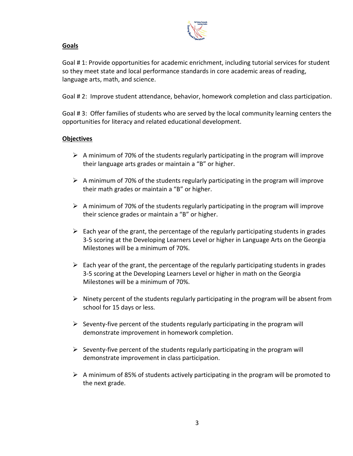

## **Goals**

Goal # 1: Provide opportunities for academic enrichment, including tutorial services for student so they meet state and local performance standards in core academic areas of reading, language arts, math, and science.

Goal # 2: Improve student attendance, behavior, homework completion and class participation.

Goal # 3: Offer families of students who are served by the local community learning centers the opportunities for literacy and related educational development.

## **Objectives**

- $\triangleright$  A minimum of 70% of the students regularly participating in the program will improve their language arts grades or maintain a "B" or higher.
- $\triangleright$  A minimum of 70% of the students regularly participating in the program will improve their math grades or maintain a "B" or higher.
- $\triangleright$  A minimum of 70% of the students regularly participating in the program will improve their science grades or maintain a "B" or higher.
- $\triangleright$  Each year of the grant, the percentage of the regularly participating students in grades 3-5 scoring at the Developing Learners Level or higher in Language Arts on the Georgia Milestones will be a minimum of 70%.
- $\triangleright$  Each year of the grant, the percentage of the regularly participating students in grades 3-5 scoring at the Developing Learners Level or higher in math on the Georgia Milestones will be a minimum of 70%.
- $\triangleright$  Ninety percent of the students regularly participating in the program will be absent from school for 15 days or less.
- $\triangleright$  Seventy-five percent of the students regularly participating in the program will demonstrate improvement in homework completion.
- $\triangleright$  Seventy-five percent of the students regularly participating in the program will demonstrate improvement in class participation.
- $\triangleright$  A minimum of 85% of students actively participating in the program will be promoted to the next grade.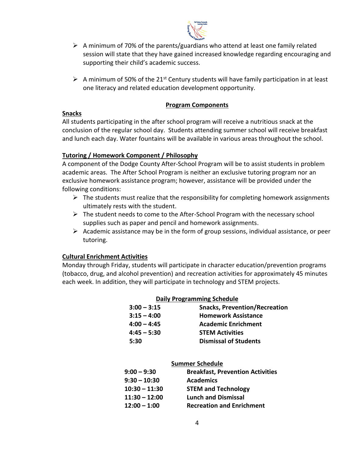

- $\triangleright$  A minimum of 70% of the parents/guardians who attend at least one family related session will state that they have gained increased knowledge regarding encouraging and supporting their child's academic success.
- A minimum of 50% of the 21<sup>st</sup> Century students will have family participation in at least one literacy and related education development opportunity.

#### **Program Components**

## **Snacks**

All students participating in the after school program will receive a nutritious snack at the conclusion of the regular school day. Students attending summer school will receive breakfast and lunch each day. Water fountains will be available in various areas throughout the school.

# **Tutoring / Homework Component / Philosophy**

A component of the Dodge County After-School Program will be to assist students in problem academic areas. The After School Program is neither an exclusive tutoring program nor an exclusive homework assistance program; however, assistance will be provided under the following conditions:

- $\triangleright$  The students must realize that the responsibility for completing homework assignments ultimately rests with the student.
- $\triangleright$  The student needs to come to the After-School Program with the necessary school supplies such as paper and pencil and homework assignments.
- $\triangleright$  Academic assistance may be in the form of group sessions, individual assistance, or peer tutoring.

# **Cultural Enrichment Activities**

Monday through Friday, students will participate in character education/prevention programs (tobacco, drug, and alcohol prevention) and recreation activities for approximately 45 minutes each week. In addition, they will participate in technology and STEM projects.

| <b>Daily Programming Schedule</b> |                                      |  |  |
|-----------------------------------|--------------------------------------|--|--|
| $3:00 - 3:15$                     | <b>Snacks, Prevention/Recreation</b> |  |  |
| $3:15 - 4:00$                     | <b>Homework Assistance</b>           |  |  |
| $4:00 - 4:45$                     | <b>Academic Enrichment</b>           |  |  |
| $4:45 - 5:30$                     | <b>STEM Activities</b>               |  |  |
| 5:30                              | <b>Dismissal of Students</b>         |  |  |

| <b>Summer Schedule</b> |                                         |  |  |  |
|------------------------|-----------------------------------------|--|--|--|
| $9:00 - 9:30$          | <b>Breakfast, Prevention Activities</b> |  |  |  |
| $9:30 - 10:30$         | <b>Academics</b>                        |  |  |  |
| $10:30 - 11:30$        | <b>STEM and Technology</b>              |  |  |  |
| $11:30 - 12:00$        | <b>Lunch and Dismissal</b>              |  |  |  |
| $12:00 - 1:00$         | <b>Recreation and Enrichment</b>        |  |  |  |
|                        |                                         |  |  |  |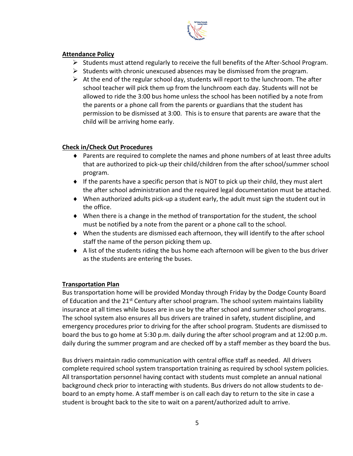

## **Attendance Policy**

- $\triangleright$  Students must attend regularly to receive the full benefits of the After-School Program.
- $\triangleright$  Students with chronic unexcused absences may be dismissed from the program.
- $\triangleright$  At the end of the regular school day, students will report to the lunchroom. The after school teacher will pick them up from the lunchroom each day. Students will not be allowed to ride the 3:00 bus home unless the school has been notified by a note from the parents or a phone call from the parents or guardians that the student has permission to be dismissed at 3:00. This is to ensure that parents are aware that the child will be arriving home early.

# **Check in/Check Out Procedures**

- Parents are required to complete the names and phone numbers of at least three adults that are authorized to pick-up their child/children from the after school/summer school program.
- $\bullet$  If the parents have a specific person that is NOT to pick up their child, they must alert the after school administration and the required legal documentation must be attached.
- When authorized adults pick-up a student early, the adult must sign the student out in the office.
- When there is a change in the method of transportation for the student, the school must be notified by a note from the parent or a phone call to the school.
- When the students are dismissed each afternoon, they will identify to the after school staff the name of the person picking them up.
- A list of the students riding the bus home each afternoon will be given to the bus driver as the students are entering the buses.

# **Transportation Plan**

Bus transportation home will be provided Monday through Friday by the Dodge County Board of Education and the 21<sup>st</sup> Century after school program. The school system maintains liability insurance at all times while buses are in use by the after school and summer school programs. The school system also ensures all bus drivers are trained in safety, student discipline, and emergency procedures prior to driving for the after school program. Students are dismissed to board the bus to go home at 5:30 p.m. daily during the after school program and at 12:00 p.m. daily during the summer program and are checked off by a staff member as they board the bus.

Bus drivers maintain radio communication with central office staff as needed. All drivers complete required school system transportation training as required by school system policies. All transportation personnel having contact with students must complete an annual national background check prior to interacting with students. Bus drivers do not allow students to deboard to an empty home. A staff member is on call each day to return to the site in case a student is brought back to the site to wait on a parent/authorized adult to arrive.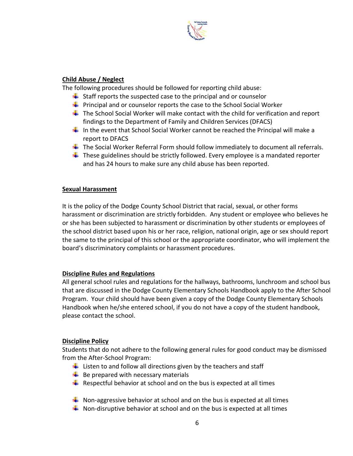

## **Child Abuse / Neglect**

The following procedures should be followed for reporting child abuse:

- $\ddot{\phantom{1}}$  Staff reports the suspected case to the principal and or counselor
- $\ddot{\phantom{1}}$  Principal and or counselor reports the case to the School Social Worker
- $\ddot{\phantom{1}}$  The School Social Worker will make contact with the child for verification and report findings to the Department of Family and Children Services (DFACS)
- In the event that School Social Worker cannot be reached the Principal will make a report to DFACS
- $\ddot{\phantom{1}}$  The Social Worker Referral Form should follow immediately to document all referrals.
- $\downarrow$  These guidelines should be strictly followed. Every employee is a mandated reporter and has 24 hours to make sure any child abuse has been reported.

#### **Sexual Harassment**

It is the policy of the Dodge County School District that racial, sexual, or other forms harassment or discrimination are strictly forbidden. Any student or employee who believes he or she has been subjected to harassment or discrimination by other students or employees of the school district based upon his or her race, religion, national origin, age or sex should report the same to the principal of this school or the appropriate coordinator, who will implement the board's discriminatory complaints or harassment procedures.

#### **Discipline Rules and Regulations**

All general school rules and regulations for the hallways, bathrooms, lunchroom and school bus that are discussed in the Dodge County Elementary Schools Handbook apply to the After School Program. Your child should have been given a copy of the Dodge County Elementary Schools Handbook when he/she entered school, if you do not have a copy of the student handbook, please contact the school.

#### **Discipline Policy**

Students that do not adhere to the following general rules for good conduct may be dismissed from the After-School Program:

- $\ddot{\phantom{1}}$  Listen to and follow all directions given by the teachers and staff
- $\bigstar$  Be prepared with necessary materials
- $\ddot{+}$  Respectful behavior at school and on the bus is expected at all times
- $\ddot{\bullet}$  Non-aggressive behavior at school and on the bus is expected at all times
- $\downarrow$  Non-disruptive behavior at school and on the bus is expected at all times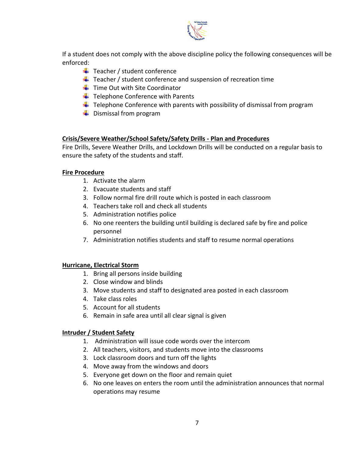

If a student does not comply with the above discipline policy the following consequences will be enforced:

- $\frac{1}{2}$  Teacher / student conference
- $\frac{1}{\sqrt{2}}$  Teacher / student conference and suspension of recreation time
- $\ddot{\bullet}$  Time Out with Site Coordinator
- $\bigstar$  Telephone Conference with Parents
- $\ddot{\phantom{1}}$  Telephone Conference with parents with possibility of dismissal from program
- $\leftarrow$  Dismissal from program

# **Crisis/Severe Weather/School Safety/Safety Drills - Plan and Procedures**

Fire Drills, Severe Weather Drills, and Lockdown Drills will be conducted on a regular basis to ensure the safety of the students and staff.

# **Fire Procedure**

- 1. Activate the alarm
- 2. Evacuate students and staff
- 3. Follow normal fire drill route which is posted in each classroom
- 4. Teachers take roll and check all students
- 5. Administration notifies police
- 6. No one reenters the building until building is declared safe by fire and police personnel
- 7. Administration notifies students and staff to resume normal operations

# **Hurricane, Electrical Storm**

- 1. Bring all persons inside building
- 2. Close window and blinds
- 3. Move students and staff to designated area posted in each classroom
- 4. Take class roles
- 5. Account for all students
- 6. Remain in safe area until all clear signal is given

# **Intruder / Student Safety**

- 1. Administration will issue code words over the intercom
- 2. All teachers, visitors, and students move into the classrooms
- 3. Lock classroom doors and turn off the lights
- 4. Move away from the windows and doors
- 5. Everyone get down on the floor and remain quiet
- 6. No one leaves on enters the room until the administration announces that normal operations may resume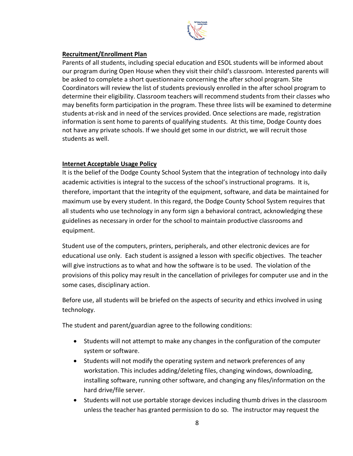

## **Recruitment/Enrollment Plan**

Parents of all students, including special education and ESOL students will be informed about our program during Open House when they visit their child's classroom. Interested parents will be asked to complete a short questionnaire concerning the after school program. Site Coordinators will review the list of students previously enrolled in the after school program to determine their eligibility. Classroom teachers will recommend students from their classes who may benefits form participation in the program. These three lists will be examined to determine students at-risk and in need of the services provided. Once selections are made, registration information is sent home to parents of qualifying students. At this time, Dodge County does not have any private schools. If we should get some in our district, we will recruit those students as well.

## **Internet Acceptable Usage Policy**

It is the belief of the Dodge County School System that the integration of technology into daily academic activities is integral to the success of the school's instructional programs. It is, therefore, important that the integrity of the equipment, software, and data be maintained for maximum use by every student. In this regard, the Dodge County School System requires that all students who use technology in any form sign a behavioral contract, acknowledging these guidelines as necessary in order for the school to maintain productive classrooms and equipment.

Student use of the computers, printers, peripherals, and other electronic devices are for educational use only. Each student is assigned a lesson with specific objectives. The teacher will give instructions as to what and how the software is to be used. The violation of the provisions of this policy may result in the cancellation of privileges for computer use and in the some cases, disciplinary action.

Before use, all students will be briefed on the aspects of security and ethics involved in using technology.

The student and parent/guardian agree to the following conditions:

- Students will not attempt to make any changes in the configuration of the computer system or software.
- Students will not modify the operating system and network preferences of any workstation. This includes adding/deleting files, changing windows, downloading, installing software, running other software, and changing any files/information on the hard drive/file server.
- Students will not use portable storage devices including thumb drives in the classroom unless the teacher has granted permission to do so. The instructor may request the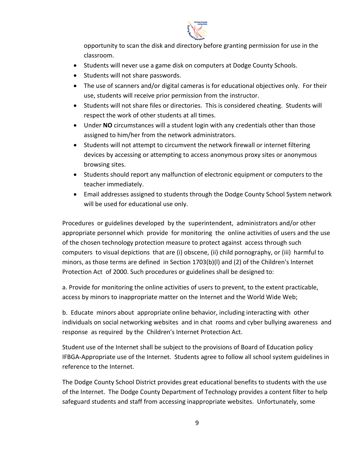

opportunity to scan the disk and directory before granting permission for use in the classroom.

- Students will never use a game disk on computers at Dodge County Schools.
- Students will not share passwords.
- The use of scanners and/or digital cameras is for educational objectives only. For their use, students will receive prior permission from the instructor.
- Students will not share files or directories. This is considered cheating. Students will respect the work of other students at all times.
- Under **NO** circumstances will a student login with any credentials other than those assigned to him/her from the network administrators.
- Students will not attempt to circumvent the network firewall or internet filtering devices by accessing or attempting to access anonymous proxy sites or anonymous browsing sites.
- Students should report any malfunction of electronic equipment or computers to the teacher immediately.
- Email addresses assigned to students through the Dodge County School System network will be used for educational use only.

Procedures or guidelines developed by the superintendent, administrators and/or other appropriate personnel which provide for monitoring the online activities of users and the use of the chosen technology protection measure to protect against access through such computers to visual depictions that are (i) obscene, (ii) child pornography, or (iii) harmful to minors, as those terms are defined in Section 1703(b)(l) and (2) of the Children's Internet Protection Act of 2000. Such procedures or guidelines shall be designed to:

a. Provide for monitoring the online activities of users to prevent, to the extent practicable, access by minors to inappropriate matter on the Internet and the World Wide Web;

b. Educate minors about appropriate online behavior, including interacting with other individuals on social networking websites and in chat rooms and cyber bullying awareness and response as required by the Children's Internet Protection Act.

Student use of the Internet shall be subject to the provisions of Board of Education policy IFBGA-Appropriate use of the Internet. Students agree to follow all school system guidelines in reference to the Internet.

The Dodge County School District provides great educational benefits to students with the use of the Internet. The Dodge County Department of Technology provides a content filter to help safeguard students and staff from accessing inappropriate websites. Unfortunately, some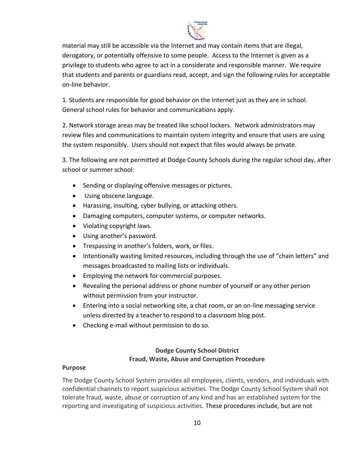

material may still be accessible via the Internet and may contain items that are illegal, derogatory, or potentially offensive to some people. Access to the Internet is given as a privilege to students who agree to act in a considerate and responsible manner. We require that students and parents or guardians read, accept, and sign the following rules for acceptable on-line behavior.

1. Students are responsible for good behavior on the Internet just as they are in school. General school rules for behavior and communications apply.

2. Network storage areas may be treated like school lockers. Network administrators may review files and communications to maintain system integrity and ensure that users are using the system responsibly. Users should not expect that files would always be private.

3. The following are not permitted at Dodge County Schools during the regular school day, after school or summer school:

- Sending or displaying offensive messages or pictures.
- Using obscene language.
- Harassing, insulting, cyber bullying, or attacking others.
- Damaging computers, computer systems, or computer networks.
- Violating copyright laws.
- Using another's password.
- Trespassing in another's folders, work, or files.
- Intentionally wasting limited resources, including through the use of "chain letters" and messages broadcasted to mailing lists or individuals.
- **Employing the network for commercial purposes.**
- Revealing the personal address or phone number of yourself or any other person without permission from your instructor.
- Entering into a social networking site, a chat room, or an on-line messaging service unless directed by a teacher to respond to a classroom blog post.
- Checking e-mail without permission to do so.

# **Dodge County School District Fraud, Waste, Abuse and Corruption Procedure**

#### **Purpose**

The Dodge County School System provides all employees, clients, vendors, and individuals with confidential channels to report suspicious activities. The Dodge County School System shall not tolerate fraud, waste, abuse or corruption of any kind and has an established system for the reporting and investigating of suspicious activities. These procedures include, but are not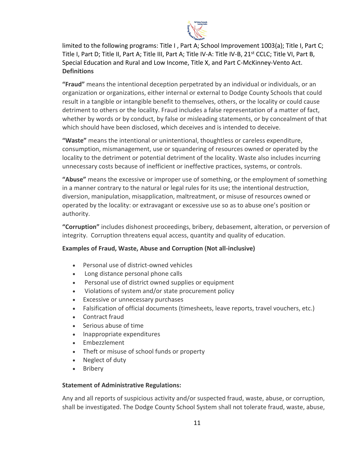

limited to the following programs: Title I , Part A; School Improvement 1003(a); Title I, Part C; Title I, Part D; Title II, Part A; Title III, Part A; Title IV-A: Title IV-B, 21<sup>st</sup> CCLC; Title VI, Part B, Special Education and Rural and Low Income, Title X, and Part C-McKinney-Vento Act. **Definitions**

**"Fraud"** means the intentional deception perpetrated by an individual or individuals, or an organization or organizations, either internal or external to Dodge County Schools that could result in a tangible or intangible benefit to themselves, others, or the locality or could cause detriment to others or the locality. Fraud includes a false representation of a matter of fact, whether by words or by conduct, by false or misleading statements, or by concealment of that which should have been disclosed, which deceives and is intended to deceive.

**"Waste"** means the intentional or unintentional, thoughtless or careless expenditure, consumption, mismanagement, use or squandering of resources owned or operated by the locality to the detriment or potential detriment of the locality. Waste also includes incurring unnecessary costs because of inefficient or ineffective practices, systems, or controls.

**"Abuse"** means the excessive or improper use of something, or the employment of something in a manner contrary to the natural or legal rules for its use; the intentional destruction, diversion, manipulation, misapplication, maltreatment, or misuse of resources owned or operated by the locality: or extravagant or excessive use so as to abuse one's position or authority.

**"Corruption"** includes dishonest proceedings, bribery, debasement, alteration, or perversion of integrity. Corruption threatens equal access, quantity and quality of education.

# **Examples of Fraud, Waste, Abuse and Corruption (Not all-inclusive)**

- Personal use of district-owned vehicles
- Long distance personal phone calls
- Personal use of district owned supplies or equipment
- Violations of system and/or state procurement policy
- Excessive or unnecessary purchases
- Falsification of official documents (timesheets, leave reports, travel vouchers, etc.)
- Contract fraud
- Serious abuse of time
- Inappropriate expenditures
- Embezzlement
- Theft or misuse of school funds or property
- Neglect of duty
- Bribery

# **Statement of Administrative Regulations:**

Any and all reports of suspicious activity and/or suspected fraud, waste, abuse, or corruption, shall be investigated. The Dodge County School System shall not tolerate fraud, waste, abuse,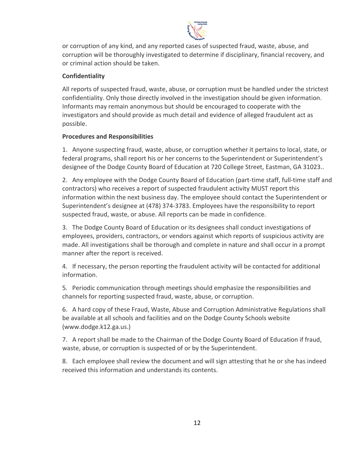

or corruption of any kind, and any reported cases of suspected fraud, waste, abuse, and corruption will be thoroughly investigated to determine if disciplinary, financial recovery, and or criminal action should be taken.

# **Confidentiality**

All reports of suspected fraud, waste, abuse, or corruption must be handled under the strictest confidentiality. Only those directly involved in the investigation should be given information. Informants may remain anonymous but should be encouraged to cooperate with the investigators and should provide as much detail and evidence of alleged fraudulent act as possible.

# **Procedures and Responsibilities**

1. Anyone suspecting fraud, waste, abuse, or corruption whether it pertains to local, state, or federal programs, shall report his or her concerns to the Superintendent or Superintendent's designee of the Dodge County Board of Education at 720 College Street, Eastman, GA 31023..

2. Any employee with the Dodge County Board of Education (part-time staff, full-time staff and contractors) who receives a report of suspected fraudulent activity MUST report this information within the next business day. The employee should contact the Superintendent or Superintendent's designee at (478) 374-3783. Employees have the responsibility to report suspected fraud, waste, or abuse. All reports can be made in confidence.

3. The Dodge County Board of Education or its designees shall conduct investigations of employees, providers, contractors, or vendors against which reports of suspicious activity are made. All investigations shall be thorough and complete in nature and shall occur in a prompt manner after the report is received.

4. If necessary, the person reporting the fraudulent activity will be contacted for additional information.

5*.* Periodic communication through meetings should emphasize the responsibilities and channels for reporting suspected fraud, waste, abuse, or corruption.

6. A hard copy of these Fraud, Waste, Abuse and Corruption Administrative Regulations shall be available at all schools and facilities and on the Dodge County Schools website (www.dodge.k12.ga.us.)

7. A report shall be made to the Chairman of the Dodge County Board of Education if fraud, waste, abuse, or corruption is suspected of or by the Superintendent.

8. Each employee shall review the document and will sign attesting that he or she has indeed received this information and understands its contents.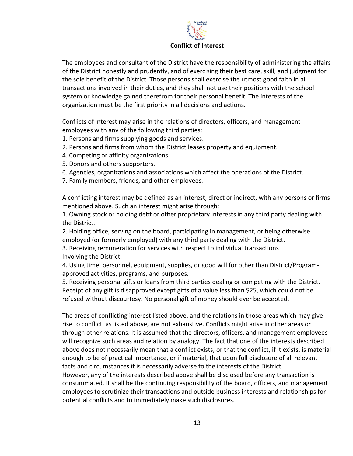

The employees and consultant of the District have the responsibility of administering the affairs of the District honestly and prudently, and of exercising their best care, skill, and judgment for the sole benefit of the District. Those persons shall exercise the utmost good faith in all transactions involved in their duties, and they shall not use their positions with the school system or knowledge gained therefrom for their personal benefit. The interests of the organization must be the first priority in all decisions and actions.

Conflicts of interest may arise in the relations of directors, officers, and management employees with any of the following third parties:

- 1. Persons and firms supplying goods and services.
- 2. Persons and firms from whom the District leases property and equipment.
- 4. Competing or affinity organizations.
- 5. Donors and others supporters.
- 6. Agencies, organizations and associations which affect the operations of the District.
- 7. Family members, friends, and other employees.

A conflicting interest may be defined as an interest, direct or indirect, with any persons or firms mentioned above. Such an interest might arise through:

1. Owning stock or holding debt or other proprietary interests in any third party dealing with the District.

2. Holding office, serving on the board, participating in management, or being otherwise employed (or formerly employed) with any third party dealing with the District.

3. Receiving remuneration for services with respect to individual transactions Involving the District.

4. Using time, personnel, equipment, supplies, or good will for other than District/Programapproved activities, programs, and purposes.

5. Receiving personal gifts or loans from third parties dealing or competing with the District. Receipt of any gift is disapproved except gifts of a value less than \$25, which could not be refused without discourtesy. No personal gift of money should ever be accepted.

The areas of conflicting interest listed above, and the relations in those areas which may give rise to conflict, as listed above, are not exhaustive. Conflicts might arise in other areas or through other relations. It is assumed that the directors, officers, and management employees will recognize such areas and relation by analogy. The fact that one of the interests described above does not necessarily mean that a conflict exists, or that the conflict, if it exists, is material enough to be of practical importance, or if material, that upon full disclosure of all relevant facts and circumstances it is necessarily adverse to the interests of the District. However, any of the interests described above shall be disclosed before any transaction is consummated. It shall be the continuing responsibility of the board, officers, and management employees to scrutinize their transactions and outside business interests and relationships for potential conflicts and to immediately make such disclosures.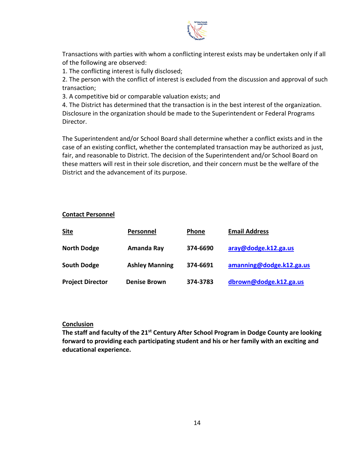

Transactions with parties with whom a conflicting interest exists may be undertaken only if all of the following are observed:

1. The conflicting interest is fully disclosed;

2. The person with the conflict of interest is excluded from the discussion and approval of such transaction;

3. A competitive bid or comparable valuation exists; and

4. The District has determined that the transaction is in the best interest of the organization. Disclosure in the organization should be made to the Superintendent or Federal Programs Director.

The Superintendent and/or School Board shall determine whether a conflict exists and in the case of an existing conflict, whether the contemplated transaction may be authorized as just, fair, and reasonable to District. The decision of the Superintendent and/or School Board on these matters will rest in their sole discretion, and their concern must be the welfare of the District and the advancement of its purpose.

## **Contact Personnel**

| <b>Site</b>             | Personnel             | <b>Phone</b> | <b>Email Address</b>     |
|-------------------------|-----------------------|--------------|--------------------------|
| <b>North Dodge</b>      | Amanda Ray            | 374-6690     | aray@dodge.k12.ga.us     |
| <b>South Dodge</b>      | <b>Ashley Manning</b> | 374-6691     | amanning@dodge.k12.ga.us |
| <b>Project Director</b> | <b>Denise Brown</b>   | 374-3783     | dbrown@dodge.k12.ga.us   |

#### **Conclusion**

**The staff and faculty of the 21st Century After School Program in Dodge County are looking forward to providing each participating student and his or her family with an exciting and educational experience.**